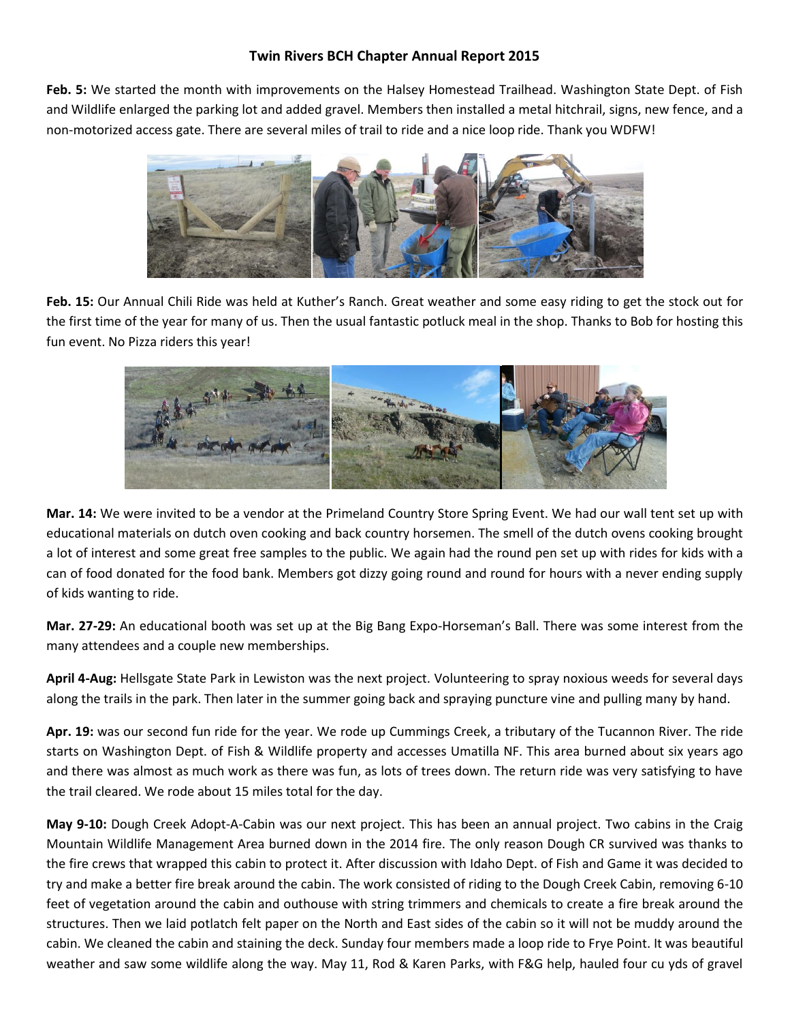## **Twin Rivers BCH Chapter Annual Report 2015**

**Feb. 5:** We started the month with improvements on the Halsey Homestead Trailhead. Washington State Dept. of Fish and Wildlife enlarged the parking lot and added gravel. Members then installed a metal hitchrail, signs, new fence, and a non-motorized access gate. There are several miles of trail to ride and a nice loop ride. Thank you WDFW!



**Feb. 15:** Our Annual Chili Ride was held at Kuther's Ranch. Great weather and some easy riding to get the stock out for the first time of the year for many of us. Then the usual fantastic potluck meal in the shop. Thanks to Bob for hosting this fun event. No Pizza riders this year!



**Mar. 14:** We were invited to be a vendor at the Primeland Country Store Spring Event. We had our wall tent set up with educational materials on dutch oven cooking and back country horsemen. The smell of the dutch ovens cooking brought a lot of interest and some great free samples to the public. We again had the round pen set up with rides for kids with a can of food donated for the food bank. Members got dizzy going round and round for hours with a never ending supply of kids wanting to ride.

**Mar. 27-29:** An educational booth was set up at the Big Bang Expo-Horseman's Ball. There was some interest from the many attendees and a couple new memberships.

**April 4-Aug:** Hellsgate State Park in Lewiston was the next project. Volunteering to spray noxious weeds for several days along the trails in the park. Then later in the summer going back and spraying puncture vine and pulling many by hand.

**Apr. 19:** was our second fun ride for the year. We rode up Cummings Creek, a tributary of the Tucannon River. The ride starts on Washington Dept. of Fish & Wildlife property and accesses Umatilla NF. This area burned about six years ago and there was almost as much work as there was fun, as lots of trees down. The return ride was very satisfying to have the trail cleared. We rode about 15 miles total for the day.

**May 9-10:** Dough Creek Adopt-A-Cabin was our next project. This has been an annual project. Two cabins in the Craig Mountain Wildlife Management Area burned down in the 2014 fire. The only reason Dough CR survived was thanks to the fire crews that wrapped this cabin to protect it. After discussion with Idaho Dept. of Fish and Game it was decided to try and make a better fire break around the cabin. The work consisted of riding to the Dough Creek Cabin, removing 6-10 feet of vegetation around the cabin and outhouse with string trimmers and chemicals to create a fire break around the structures. Then we laid potlatch felt paper on the North and East sides of the cabin so it will not be muddy around the cabin. We cleaned the cabin and staining the deck. Sunday four members made a loop ride to Frye Point. It was beautiful weather and saw some wildlife along the way. May 11, Rod & Karen Parks, with F&G help, hauled four cu yds of gravel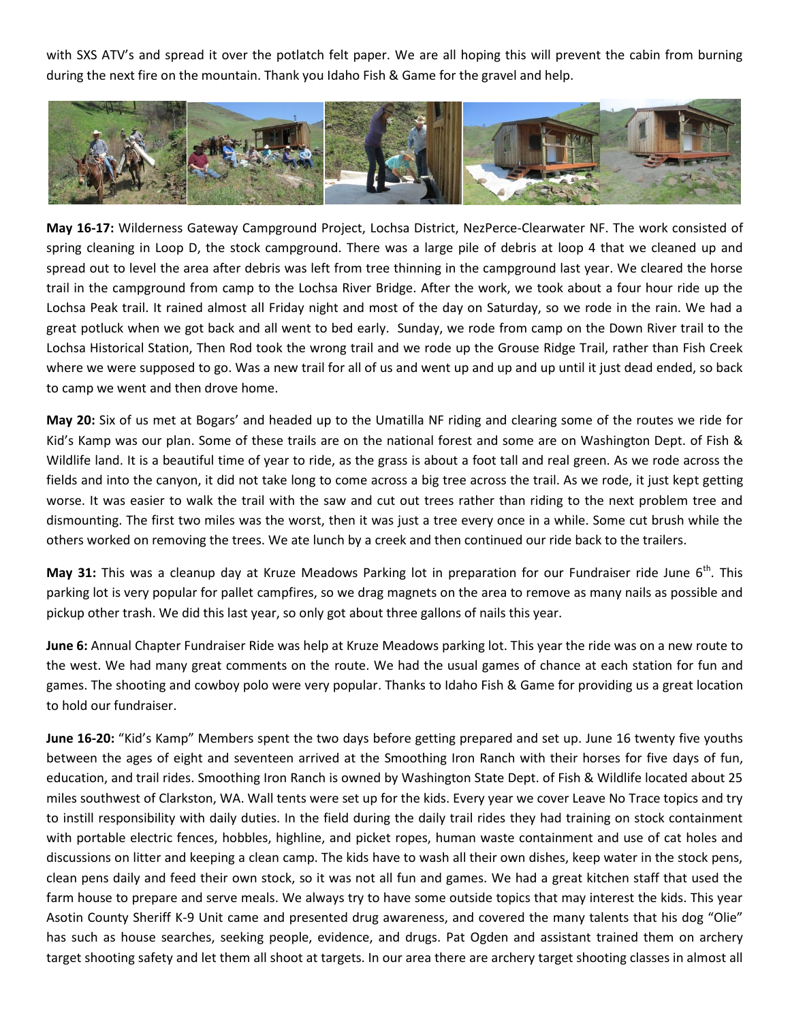with SXS ATV's and spread it over the potlatch felt paper. We are all hoping this will prevent the cabin from burning during the next fire on the mountain. Thank you Idaho Fish & Game for the gravel and help.



**May 16-17:** Wilderness Gateway Campground Project, Lochsa District, NezPerce-Clearwater NF. The work consisted of spring cleaning in Loop D, the stock campground. There was a large pile of debris at loop 4 that we cleaned up and spread out to level the area after debris was left from tree thinning in the campground last year. We cleared the horse trail in the campground from camp to the Lochsa River Bridge. After the work, we took about a four hour ride up the Lochsa Peak trail. It rained almost all Friday night and most of the day on Saturday, so we rode in the rain. We had a great potluck when we got back and all went to bed early. Sunday, we rode from camp on the Down River trail to the Lochsa Historical Station, Then Rod took the wrong trail and we rode up the Grouse Ridge Trail, rather than Fish Creek where we were supposed to go. Was a new trail for all of us and went up and up and up until it just dead ended, so back to camp we went and then drove home.

**May 20:** Six of us met at Bogars' and headed up to the Umatilla NF riding and clearing some of the routes we ride for Kid's Kamp was our plan. Some of these trails are on the national forest and some are on Washington Dept. of Fish & Wildlife land. It is a beautiful time of year to ride, as the grass is about a foot tall and real green. As we rode across the fields and into the canyon, it did not take long to come across a big tree across the trail. As we rode, it just kept getting worse. It was easier to walk the trail with the saw and cut out trees rather than riding to the next problem tree and dismounting. The first two miles was the worst, then it was just a tree every once in a while. Some cut brush while the others worked on removing the trees. We ate lunch by a creek and then continued our ride back to the trailers.

**May 31:** This was a cleanup day at Kruze Meadows Parking lot in preparation for our Fundraiser ride June 6<sup>th</sup>. This parking lot is very popular for pallet campfires, so we drag magnets on the area to remove as many nails as possible and pickup other trash. We did this last year, so only got about three gallons of nails this year.

**June 6:** Annual Chapter Fundraiser Ride was help at Kruze Meadows parking lot. This year the ride was on a new route to the west. We had many great comments on the route. We had the usual games of chance at each station for fun and games. The shooting and cowboy polo were very popular. Thanks to Idaho Fish & Game for providing us a great location to hold our fundraiser.

**June 16-20:** "Kid's Kamp" Members spent the two days before getting prepared and set up. June 16 twenty five youths between the ages of eight and seventeen arrived at the Smoothing Iron Ranch with their horses for five days of fun, education, and trail rides. Smoothing Iron Ranch is owned by Washington State Dept. of Fish & Wildlife located about 25 miles southwest of Clarkston, WA. Wall tents were set up for the kids. Every year we cover Leave No Trace topics and try to instill responsibility with daily duties. In the field during the daily trail rides they had training on stock containment with portable electric fences, hobbles, highline, and picket ropes, human waste containment and use of cat holes and discussions on litter and keeping a clean camp. The kids have to wash all their own dishes, keep water in the stock pens, clean pens daily and feed their own stock, so it was not all fun and games. We had a great kitchen staff that used the farm house to prepare and serve meals. We always try to have some outside topics that may interest the kids. This year Asotin County Sheriff K-9 Unit came and presented drug awareness, and covered the many talents that his dog "Olie" has such as house searches, seeking people, evidence, and drugs. Pat Ogden and assistant trained them on archery target shooting safety and let them all shoot at targets. In our area there are archery target shooting classes in almost all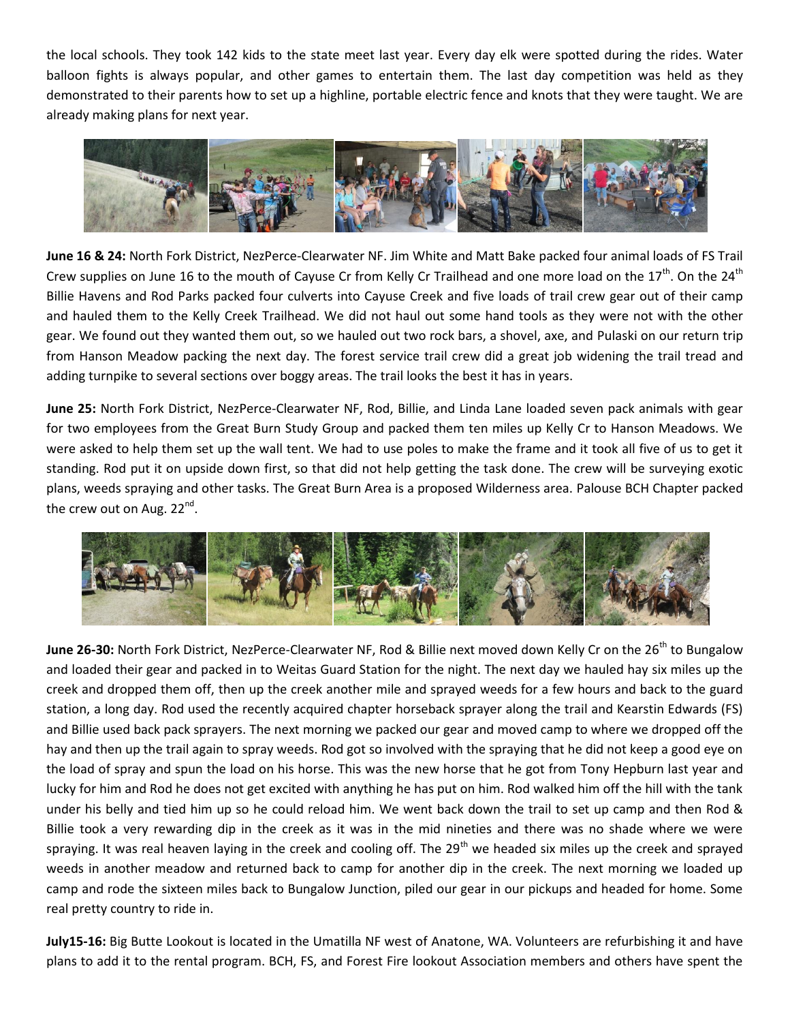the local schools. They took 142 kids to the state meet last year. Every day elk were spotted during the rides. Water balloon fights is always popular, and other games to entertain them. The last day competition was held as they demonstrated to their parents how to set up a highline, portable electric fence and knots that they were taught. We are already making plans for next year.



**June 16 & 24:** North Fork District, NezPerce-Clearwater NF. Jim White and Matt Bake packed four animal loads of FS Trail Crew supplies on June 16 to the mouth of Cayuse Cr from Kelly Cr Trailhead and one more load on the  $17<sup>th</sup>$ . On the  $24<sup>th</sup>$ Billie Havens and Rod Parks packed four culverts into Cayuse Creek and five loads of trail crew gear out of their camp and hauled them to the Kelly Creek Trailhead. We did not haul out some hand tools as they were not with the other gear. We found out they wanted them out, so we hauled out two rock bars, a shovel, axe, and Pulaski on our return trip from Hanson Meadow packing the next day. The forest service trail crew did a great job widening the trail tread and adding turnpike to several sections over boggy areas. The trail looks the best it has in years.

**June 25:** North Fork District, NezPerce-Clearwater NF, Rod, Billie, and Linda Lane loaded seven pack animals with gear for two employees from the Great Burn Study Group and packed them ten miles up Kelly Cr to Hanson Meadows. We were asked to help them set up the wall tent. We had to use poles to make the frame and it took all five of us to get it standing. Rod put it on upside down first, so that did not help getting the task done. The crew will be surveying exotic plans, weeds spraying and other tasks. The Great Burn Area is a proposed Wilderness area. Palouse BCH Chapter packed the crew out on Aug. 22<sup>nd</sup>.



June 26-30: North Fork District, NezPerce-Clearwater NF, Rod & Billie next moved down Kelly Cr on the 26<sup>th</sup> to Bungalow and loaded their gear and packed in to Weitas Guard Station for the night. The next day we hauled hay six miles up the creek and dropped them off, then up the creek another mile and sprayed weeds for a few hours and back to the guard station, a long day. Rod used the recently acquired chapter horseback sprayer along the trail and Kearstin Edwards (FS) and Billie used back pack sprayers. The next morning we packed our gear and moved camp to where we dropped off the hay and then up the trail again to spray weeds. Rod got so involved with the spraying that he did not keep a good eye on the load of spray and spun the load on his horse. This was the new horse that he got from Tony Hepburn last year and lucky for him and Rod he does not get excited with anything he has put on him. Rod walked him off the hill with the tank under his belly and tied him up so he could reload him. We went back down the trail to set up camp and then Rod & Billie took a very rewarding dip in the creek as it was in the mid nineties and there was no shade where we were spraying. It was real heaven laying in the creek and cooling off. The  $29<sup>th</sup>$  we headed six miles up the creek and sprayed weeds in another meadow and returned back to camp for another dip in the creek. The next morning we loaded up camp and rode the sixteen miles back to Bungalow Junction, piled our gear in our pickups and headed for home. Some real pretty country to ride in.

**July15-16:** Big Butte Lookout is located in the Umatilla NF west of Anatone, WA. Volunteers are refurbishing it and have plans to add it to the rental program. BCH, FS, and Forest Fire lookout Association members and others have spent the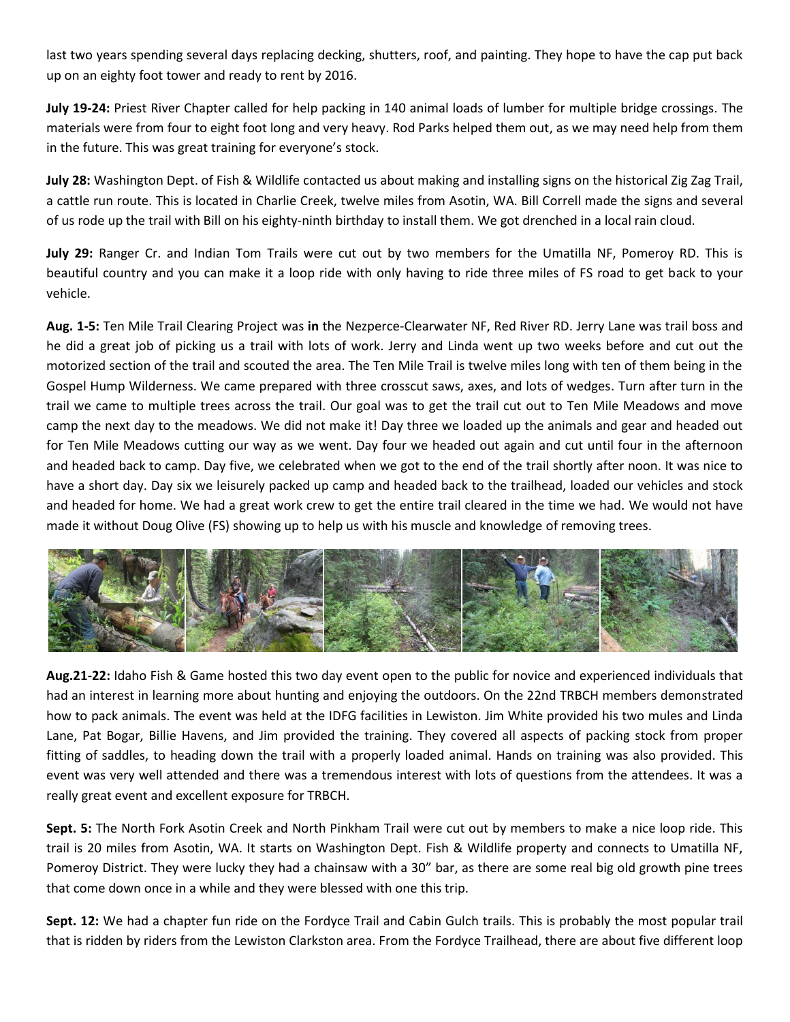last two years spending several days replacing decking, shutters, roof, and painting. They hope to have the cap put back up on an eighty foot tower and ready to rent by 2016.

**July 19-24:** Priest River Chapter called for help packing in 140 animal loads of lumber for multiple bridge crossings. The materials were from four to eight foot long and very heavy. Rod Parks helped them out, as we may need help from them in the future. This was great training for everyone's stock.

**July 28:** Washington Dept. of Fish & Wildlife contacted us about making and installing signs on the historical Zig Zag Trail, a cattle run route. This is located in Charlie Creek, twelve miles from Asotin, WA. Bill Correll made the signs and several of us rode up the trail with Bill on his eighty-ninth birthday to install them. We got drenched in a local rain cloud.

**July 29:** Ranger Cr. and Indian Tom Trails were cut out by two members for the Umatilla NF, Pomeroy RD. This is beautiful country and you can make it a loop ride with only having to ride three miles of FS road to get back to your vehicle.

**Aug. 1-5:** Ten Mile Trail Clearing Project was **in** the Nezperce-Clearwater NF, Red River RD. Jerry Lane was trail boss and he did a great job of picking us a trail with lots of work. Jerry and Linda went up two weeks before and cut out the motorized section of the trail and scouted the area. The Ten Mile Trail is twelve miles long with ten of them being in the Gospel Hump Wilderness. We came prepared with three crosscut saws, axes, and lots of wedges. Turn after turn in the trail we came to multiple trees across the trail. Our goal was to get the trail cut out to Ten Mile Meadows and move camp the next day to the meadows. We did not make it! Day three we loaded up the animals and gear and headed out for Ten Mile Meadows cutting our way as we went. Day four we headed out again and cut until four in the afternoon and headed back to camp. Day five, we celebrated when we got to the end of the trail shortly after noon. It was nice to have a short day. Day six we leisurely packed up camp and headed back to the trailhead, loaded our vehicles and stock and headed for home. We had a great work crew to get the entire trail cleared in the time we had. We would not have made it without Doug Olive (FS) showing up to help us with his muscle and knowledge of removing trees.



**Aug.21-22:** Idaho Fish & Game hosted this two day event open to the public for novice and experienced individuals that had an interest in learning more about hunting and enjoying the outdoors. On the 22nd TRBCH members demonstrated how to pack animals. The event was held at the IDFG facilities in Lewiston. Jim White provided his two mules and Linda Lane, Pat Bogar, Billie Havens, and Jim provided the training. They covered all aspects of packing stock from proper fitting of saddles, to heading down the trail with a properly loaded animal. Hands on training was also provided. This event was very well attended and there was a tremendous interest with lots of questions from the attendees. It was a really great event and excellent exposure for TRBCH.

**Sept. 5:** The North Fork Asotin Creek and North Pinkham Trail were cut out by members to make a nice loop ride. This trail is 20 miles from Asotin, WA. It starts on Washington Dept. Fish & Wildlife property and connects to Umatilla NF, Pomeroy District. They were lucky they had a chainsaw with a 30" bar, as there are some real big old growth pine trees that come down once in a while and they were blessed with one this trip.

**Sept. 12:** We had a chapter fun ride on the Fordyce Trail and Cabin Gulch trails. This is probably the most popular trail that is ridden by riders from the Lewiston Clarkston area. From the Fordyce Trailhead, there are about five different loop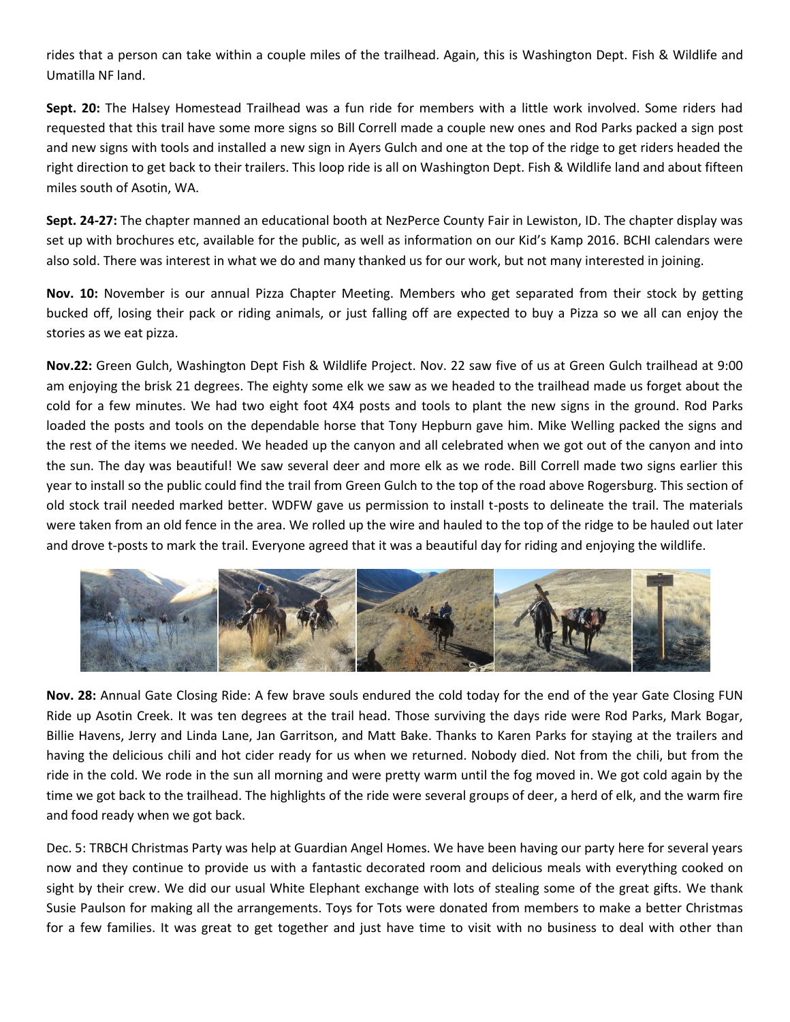rides that a person can take within a couple miles of the trailhead. Again, this is Washington Dept. Fish & Wildlife and Umatilla NF land.

**Sept. 20:** The Halsey Homestead Trailhead was a fun ride for members with a little work involved. Some riders had requested that this trail have some more signs so Bill Correll made a couple new ones and Rod Parks packed a sign post and new signs with tools and installed a new sign in Ayers Gulch and one at the top of the ridge to get riders headed the right direction to get back to their trailers. This loop ride is all on Washington Dept. Fish & Wildlife land and about fifteen miles south of Asotin, WA.

**Sept. 24-27:** The chapter manned an educational booth at NezPerce County Fair in Lewiston, ID. The chapter display was set up with brochures etc, available for the public, as well as information on our Kid's Kamp 2016. BCHI calendars were also sold. There was interest in what we do and many thanked us for our work, but not many interested in joining.

**Nov. 10:** November is our annual Pizza Chapter Meeting. Members who get separated from their stock by getting bucked off, losing their pack or riding animals, or just falling off are expected to buy a Pizza so we all can enjoy the stories as we eat pizza.

**Nov.22:** Green Gulch, Washington Dept Fish & Wildlife Project. Nov. 22 saw five of us at Green Gulch trailhead at 9:00 am enjoying the brisk 21 degrees. The eighty some elk we saw as we headed to the trailhead made us forget about the cold for a few minutes. We had two eight foot 4X4 posts and tools to plant the new signs in the ground. Rod Parks loaded the posts and tools on the dependable horse that Tony Hepburn gave him. Mike Welling packed the signs and the rest of the items we needed. We headed up the canyon and all celebrated when we got out of the canyon and into the sun. The day was beautiful! We saw several deer and more elk as we rode. Bill Correll made two signs earlier this year to install so the public could find the trail from Green Gulch to the top of the road above Rogersburg. This section of old stock trail needed marked better. WDFW gave us permission to install t-posts to delineate the trail. The materials were taken from an old fence in the area. We rolled up the wire and hauled to the top of the ridge to be hauled out later and drove t-posts to mark the trail. Everyone agreed that it was a beautiful day for riding and enjoying the wildlife.



**Nov. 28:** Annual Gate Closing Ride: A few brave souls endured the cold today for the end of the year Gate Closing FUN Ride up Asotin Creek. It was ten degrees at the trail head. Those surviving the days ride were Rod Parks, Mark Bogar, Billie Havens, Jerry and Linda Lane, Jan Garritson, and Matt Bake. Thanks to Karen Parks for staying at the trailers and having the delicious chili and hot cider ready for us when we returned. Nobody died. Not from the chili, but from the ride in the cold. We rode in the sun all morning and were pretty warm until the fog moved in. We got cold again by the time we got back to the trailhead. The highlights of the ride were several groups of deer, a herd of elk, and the warm fire and food ready when we got back.

Dec. 5: TRBCH Christmas Party was help at Guardian Angel Homes. We have been having our party here for several years now and they continue to provide us with a fantastic decorated room and delicious meals with everything cooked on sight by their crew. We did our usual White Elephant exchange with lots of stealing some of the great gifts. We thank Susie Paulson for making all the arrangements. Toys for Tots were donated from members to make a better Christmas for a few families. It was great to get together and just have time to visit with no business to deal with other than